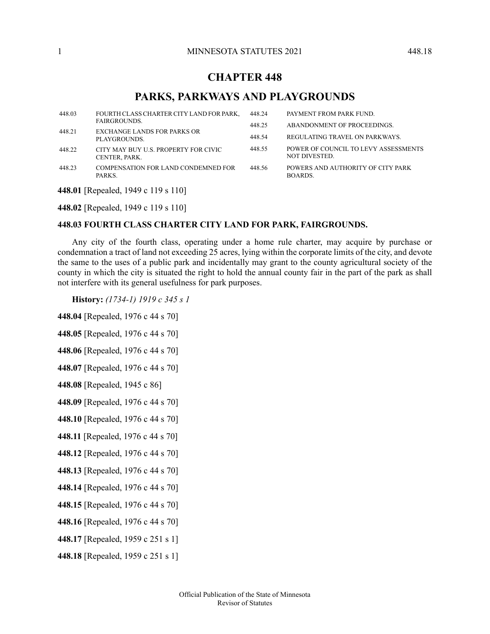# **CHAPTER 448**

# **PARKS, PARKWAYS AND PLAYGROUNDS**

| 448.03 | FOURTH CLASS CHARTER CITY LAND FOR PARK,<br>FAIRGROUNDS. | 448.24           | PAYMENT FROM PARK FUND.                                       |
|--------|----------------------------------------------------------|------------------|---------------------------------------------------------------|
| 448.21 | EXCHANGE LANDS FOR PARKS OR<br>PLAYGROUNDS.              | 448.25<br>448.54 | ABANDONMENT OF PROCEEDINGS.<br>REGULATING TRAVEL ON PARKWAYS. |
| 448.22 | CITY MAY BUY U.S. PROPERTY FOR CIVIC<br>CENTER, PARK.    | 448.55           | POWER OF COUNCIL TO LEVY ASSESSMENTS<br>NOT DIVESTED.         |
| 448.23 | COMPENSATION FOR LAND CONDEMNED FOR<br>PARKS.            | 448.56           | POWERS AND AUTHORITY OF CITY PARK<br>BOARDS.                  |

<span id="page-0-0"></span>**448.01** [Repealed, 1949 c 119 s 110]

**448.02** [Repealed, 1949 c 119 s 110]

## **448.03 FOURTH CLASS CHARTER CITY LAND FOR PARK, FAIRGROUNDS.**

Any city of the fourth class, operating under a home rule charter, may acquire by purchase or condemnation a tract of land not exceeding 25 acres, lying within the corporate limits of the city, and devote the same to the uses of a public park and incidentally may grant to the county agricultural society of the county in which the city is situated the right to hold the annual county fair in the part of the park as shall not interfere with its general usefulness for park purposes.

**History:** *(1734-1) 1919 c 345 s 1*

**448.04** [Repealed, 1976 c 44 s 70]

**448.05** [Repealed, 1976 c 44 s 70]

**448.06** [Repealed, 1976 c 44 s 70]

**448.07** [Repealed, 1976 c 44 s 70]

**448.08** [Repealed, 1945 c 86]

**448.09** [Repealed, 1976 c 44 s 70]

**448.10** [Repealed, 1976 c 44 s 70]

**448.11** [Repealed, 1976 c 44 s 70]

**448.12** [Repealed, 1976 c 44 s 70]

**448.13** [Repealed, 1976 c 44 s 70]

**448.14** [Repealed, 1976 c 44 s 70]

**448.15** [Repealed, 1976 c 44 s 70]

**448.16** [Repealed, 1976 c 44 s 70]

- **448.17** [Repealed, 1959 c 251 s 1]
- **448.18** [Repealed, 1959 c 251 s 1]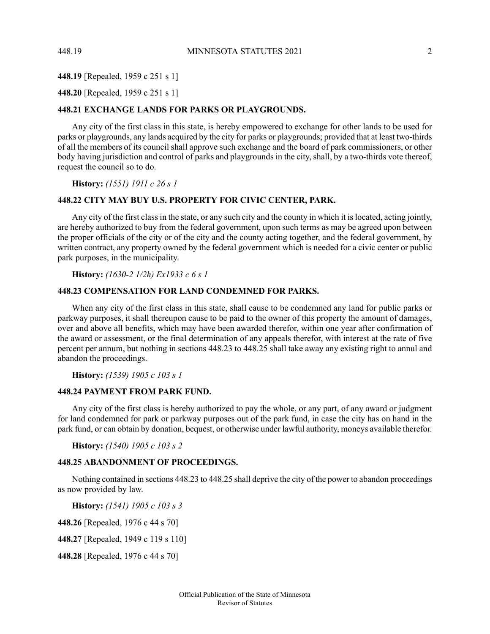#### **448.19** [Repealed, 1959 c 251 s 1]

## <span id="page-1-0"></span>**448.20** [Repealed, 1959 c 251 s 1]

### **448.21 EXCHANGE LANDS FOR PARKS OR PLAYGROUNDS.**

Any city of the first class in this state, is hereby empowered to exchange for other lands to be used for parks or playgrounds, any lands acquired by the city for parks or playgrounds; provided that at least two-thirds of all the members of its council shall approve such exchange and the board of park commissioners, or other body having jurisdiction and control of parks and playgrounds in the city, shall, by a two-thirds vote thereof, request the council so to do.

<span id="page-1-1"></span>**History:** *(1551) 1911 c 26 s 1*

### **448.22 CITY MAY BUY U.S. PROPERTY FOR CIVIC CENTER, PARK.**

Any city of the first class in the state, or any such city and the county in which it is located, acting jointly, are hereby authorized to buy from the federal government, upon such terms as may be agreed upon between the proper officials of the city or of the city and the county acting together, and the federal government, by written contract, any property owned by the federal government which is needed for a civic center or public park purposes, in the municipality.

<span id="page-1-2"></span>**History:** *(1630-2 1/2h) Ex1933 c 6 s 1*

#### **448.23 COMPENSATION FOR LAND CONDEMNED FOR PARKS.**

When any city of the first class in this state, shall cause to be condemned any land for public parks or parkway purposes, it shall thereupon cause to be paid to the owner of this property the amount of damages, over and above all benefits, which may have been awarded therefor, within one year after confirmation of the award or assessment, or the final determination of any appeals therefor, with interest at the rate of five percent per annum, but nothing in sections 448.23 to 448.25 shall take away any existing right to annul and abandon the proceedings.

<span id="page-1-3"></span>**History:** *(1539) 1905 c 103 s 1*

#### **448.24 PAYMENT FROM PARK FUND.**

<span id="page-1-4"></span>Any city of the first class is hereby authorized to pay the whole, or any part, of any award or judgment for land condemned for park or parkway purposes out of the park fund, in case the city has on hand in the park fund, or can obtain by donation, bequest, or otherwise under lawful authority, moneys available therefor.

**History:** *(1540) 1905 c 103 s 2*

#### **448.25 ABANDONMENT OF PROCEEDINGS.**

Nothing contained in sections 448.23 to 448.25 shall deprive the city of the power to abandon proceedings as now provided by law.

**History:** *(1541) 1905 c 103 s 3*

**448.26** [Repealed, 1976 c 44 s 70]

**448.27** [Repealed, 1949 c 119 s 110]

**448.28** [Repealed, 1976 c 44 s 70]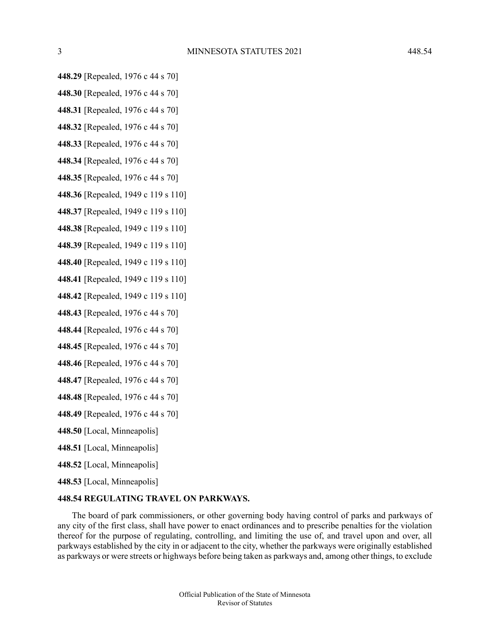- **448.29** [Repealed, 1976 c 44 s 70]
- **448.30** [Repealed, 1976 c 44 s 70]
- **448.31** [Repealed, 1976 c 44 s 70]
- **448.32** [Repealed, 1976 c 44 s 70]
- **448.33** [Repealed, 1976 c 44 s 70]
- **448.34** [Repealed, 1976 c 44 s 70]
- **448.35** [Repealed, 1976 c 44 s 70]
- **448.36** [Repealed, 1949 c 119 s 110]
- **448.37** [Repealed, 1949 c 119 s 110]
- **448.38** [Repealed, 1949 c 119 s 110]
- **448.39** [Repealed, 1949 c 119 s 110]
- **448.40** [Repealed, 1949 c 119 s 110]
- **448.41** [Repealed, 1949 c 119 s 110]
- **448.42** [Repealed, 1949 c 119 s 110]
- **448.43** [Repealed, 1976 c 44 s 70]
- **448.44** [Repealed, 1976 c 44 s 70]
- **448.45** [Repealed, 1976 c 44 s 70]
- **448.46** [Repealed, 1976 c 44 s 70]
- **448.47** [Repealed, 1976 c 44 s 70]
- **448.48** [Repealed, 1976 c 44 s 70]
- **448.49** [Repealed, 1976 c 44 s 70]
- <span id="page-2-0"></span>**448.50** [Local, Minneapolis]
- **448.51** [Local, Minneapolis]
- **448.52** [Local, Minneapolis]
- **448.53** [Local, Minneapolis]

## **448.54 REGULATING TRAVEL ON PARKWAYS.**

The board of park commissioners, or other governing body having control of parks and parkways of any city of the first class, shall have power to enact ordinances and to prescribe penalties for the violation thereof for the purpose of regulating, controlling, and limiting the use of, and travel upon and over, all parkways established by the city in or adjacent to the city, whether the parkways were originally established as parkways or were streets or highways before being taken as parkways and, among other things, to exclude